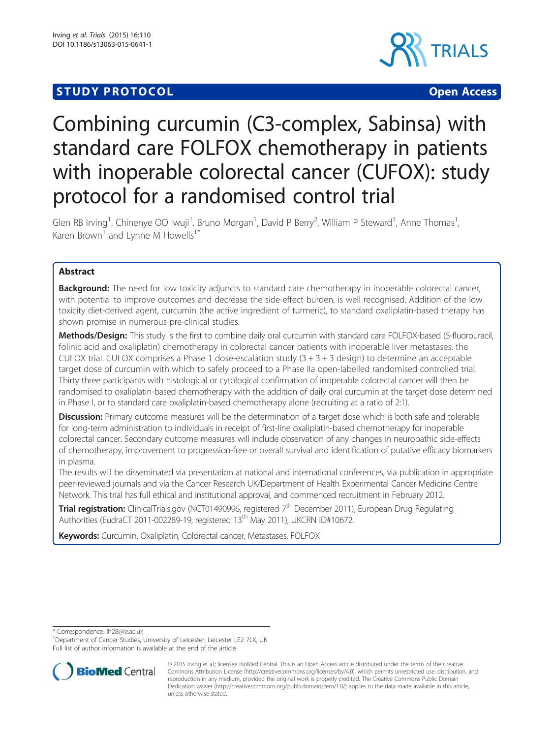# **STUDY PROTOCOL CONSUMING THE RESERVE ACCESS**



# Combining curcumin (C3-complex, Sabinsa) with standard care FOLFOX chemotherapy in patients with inoperable colorectal cancer (CUFOX): study protocol for a randomised control trial

Glen RB Irving<sup>1</sup>, Chinenye OO Iwuji<sup>1</sup>, Bruno Morgan<sup>1</sup>, David P Berry<sup>2</sup>, William P Steward<sup>1</sup>, Anne Thomas<sup>1</sup> , Karen Brown<sup>1</sup> and Lynne M Howells<sup>1\*</sup>

# Abstract

Background: The need for low toxicity adjuncts to standard care chemotherapy in inoperable colorectal cancer, with potential to improve outcomes and decrease the side-effect burden, is well recognised. Addition of the low toxicity diet-derived agent, curcumin (the active ingredient of turmeric), to standard oxaliplatin-based therapy has shown promise in numerous pre-clinical studies.

Methods/Design: This study is the first to combine daily oral curcumin with standard care FOLFOX-based (5-fluorouracil, folinic acid and oxaliplatin) chemotherapy in colorectal cancer patients with inoperable liver metastases: the CUFOX trial. CUFOX comprises a Phase 1 dose-escalation study  $(3 + 3 + 3$  design) to determine an acceptable target dose of curcumin with which to safely proceed to a Phase IIa open-labelled randomised controlled trial. Thirty three participants with histological or cytological confirmation of inoperable colorectal cancer will then be randomised to oxaliplatin-based chemotherapy with the addition of daily oral curcumin at the target dose determined in Phase I, or to standard care oxaliplatin-based chemotherapy alone (recruiting at a ratio of 2:1).

**Discussion:** Primary outcome measures will be the determination of a target dose which is both safe and tolerable for long-term administration to individuals in receipt of first-line oxaliplatin-based chemotherapy for inoperable colorectal cancer. Secondary outcome measures will include observation of any changes in neuropathic side-effects of chemotherapy, improvement to progression-free or overall survival and identification of putative efficacy biomarkers in plasma.

The results will be disseminated via presentation at national and international conferences, via publication in appropriate peer-reviewed journals and via the Cancer Research UK/Department of Health Experimental Cancer Medicine Centre Network. This trial has full ethical and institutional approval, and commenced recruitment in February 2012.

Trial registration: ClinicalTrials.gov ([NCT01490996,](https://clinicaltrials.gov/ct2/show/NCT01490996?term=cufox&rank=1) registered 7<sup>th</sup> December 2011), European Drug Regulating Authorities (EudraCT 2011-002289-19, registered 13<sup>th</sup> May 2011), UKCRN ID#10672.

Keywords: Curcumin, Oxaliplatin, Colorectal cancer, Metastases, FOLFOX

\* Correspondence: [lh28@le.ac.uk](mailto:lh28@le.ac.uk) <sup>1</sup>

<sup>&</sup>lt;sup>1</sup> Department of Cancer Studies, University of Leicester, Leicester LE2 7LX, UK Full list of author information is available at the end of the article



<sup>© 2015</sup> Irving et al.; licensee BioMed Central. This is an Open Access article distributed under the terms of the Creative Commons Attribution License [\(http://creativecommons.org/licenses/by/4.0\)](http://creativecommons.org/licenses/by/4.0), which permits unrestricted use, distribution, and reproduction in any medium, provided the original work is properly credited. The Creative Commons Public Domain Dedication waiver [\(http://creativecommons.org/publicdomain/zero/1.0/](http://creativecommons.org/publicdomain/zero/1.0/)) applies to the data made available in this article, unless otherwise stated.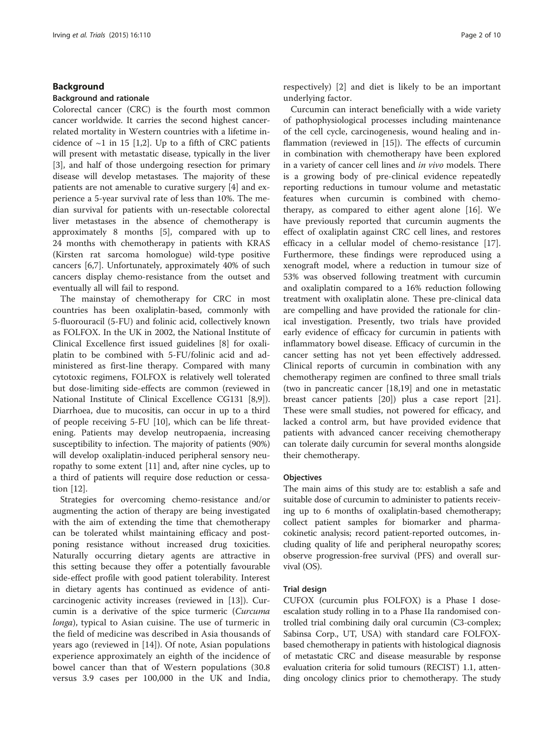# Background

# Background and rationale

Colorectal cancer (CRC) is the fourth most common cancer worldwide. It carries the second highest cancerrelated mortality in Western countries with a lifetime incidence of  $\sim$ 1 in 15 [[1,2\]](#page-8-0). Up to a fifth of CRC patients will present with metastatic disease, typically in the liver [[3\]](#page-8-0), and half of those undergoing resection for primary disease will develop metastases. The majority of these patients are not amenable to curative surgery [[4\]](#page-8-0) and experience a 5-year survival rate of less than 10%. The median survival for patients with un-resectable colorectal liver metastases in the absence of chemotherapy is approximately 8 months [[5\]](#page-8-0), compared with up to 24 months with chemotherapy in patients with KRAS (Kirsten rat sarcoma homologue) wild-type positive cancers [\[6,7\]](#page-8-0). Unfortunately, approximately 40% of such cancers display chemo-resistance from the outset and eventually all will fail to respond.

The mainstay of chemotherapy for CRC in most countries has been oxaliplatin-based, commonly with 5-fluorouracil (5-FU) and folinic acid, collectively known as FOLFOX. In the UK in 2002, the National Institute of Clinical Excellence first issued guidelines [[8\]](#page-8-0) for oxaliplatin to be combined with 5-FU/folinic acid and administered as first-line therapy. Compared with many cytotoxic regimens, FOLFOX is relatively well tolerated but dose-limiting side-effects are common (reviewed in National Institute of Clinical Excellence CG131 [\[8,9](#page-8-0)]). Diarrhoea, due to mucositis, can occur in up to a third of people receiving 5-FU [[10\]](#page-8-0), which can be life threatening. Patients may develop neutropaenia, increasing susceptibility to infection. The majority of patients (90%) will develop oxaliplatin-induced peripheral sensory neuropathy to some extent [\[11](#page-8-0)] and, after nine cycles, up to a third of patients will require dose reduction or cessation [\[12\]](#page-8-0).

Strategies for overcoming chemo-resistance and/or augmenting the action of therapy are being investigated with the aim of extending the time that chemotherapy can be tolerated whilst maintaining efficacy and postponing resistance without increased drug toxicities. Naturally occurring dietary agents are attractive in this setting because they offer a potentially favourable side-effect profile with good patient tolerability. Interest in dietary agents has continued as evidence of anticarcinogenic activity increases (reviewed in [\[13](#page-8-0)]). Curcumin is a derivative of the spice turmeric (Curcuma longa), typical to Asian cuisine. The use of turmeric in the field of medicine was described in Asia thousands of years ago (reviewed in [[14\]](#page-8-0)). Of note, Asian populations experience approximately an eighth of the incidence of bowel cancer than that of Western populations (30.8 versus 3.9 cases per 100,000 in the UK and India, respectively) [\[2](#page-8-0)] and diet is likely to be an important underlying factor.

Curcumin can interact beneficially with a wide variety of pathophysiological processes including maintenance of the cell cycle, carcinogenesis, wound healing and inflammation (reviewed in [\[15](#page-8-0)]). The effects of curcumin in combination with chemotherapy have been explored in a variety of cancer cell lines and in vivo models. There is a growing body of pre-clinical evidence repeatedly reporting reductions in tumour volume and metastatic features when curcumin is combined with chemotherapy, as compared to either agent alone [[16](#page-8-0)]. We have previously reported that curcumin augments the effect of oxaliplatin against CRC cell lines, and restores efficacy in a cellular model of chemo-resistance [\[17](#page-8-0)]. Furthermore, these findings were reproduced using a xenograft model, where a reduction in tumour size of 53% was observed following treatment with curcumin and oxaliplatin compared to a 16% reduction following treatment with oxaliplatin alone. These pre-clinical data are compelling and have provided the rationale for clinical investigation. Presently, two trials have provided early evidence of efficacy for curcumin in patients with inflammatory bowel disease. Efficacy of curcumin in the cancer setting has not yet been effectively addressed. Clinical reports of curcumin in combination with any chemotherapy regimen are confined to three small trials (two in pancreatic cancer [\[18,19](#page-8-0)] and one in metastatic breast cancer patients [[20\]](#page-8-0)) plus a case report [\[21](#page-8-0)]. These were small studies, not powered for efficacy, and lacked a control arm, but have provided evidence that patients with advanced cancer receiving chemotherapy can tolerate daily curcumin for several months alongside their chemotherapy.

#### **Objectives**

The main aims of this study are to: establish a safe and suitable dose of curcumin to administer to patients receiving up to 6 months of oxaliplatin-based chemotherapy; collect patient samples for biomarker and pharmacokinetic analysis; record patient-reported outcomes, including quality of life and peripheral neuropathy scores; observe progression-free survival (PFS) and overall survival (OS).

### Trial design

CUFOX (curcumin plus FOLFOX) is a Phase I doseescalation study rolling in to a Phase IIa randomised controlled trial combining daily oral curcumin (C3-complex; Sabinsa Corp., UT, USA) with standard care FOLFOXbased chemotherapy in patients with histological diagnosis of metastatic CRC and disease measurable by response evaluation criteria for solid tumours (RECIST) 1.1, attending oncology clinics prior to chemotherapy. The study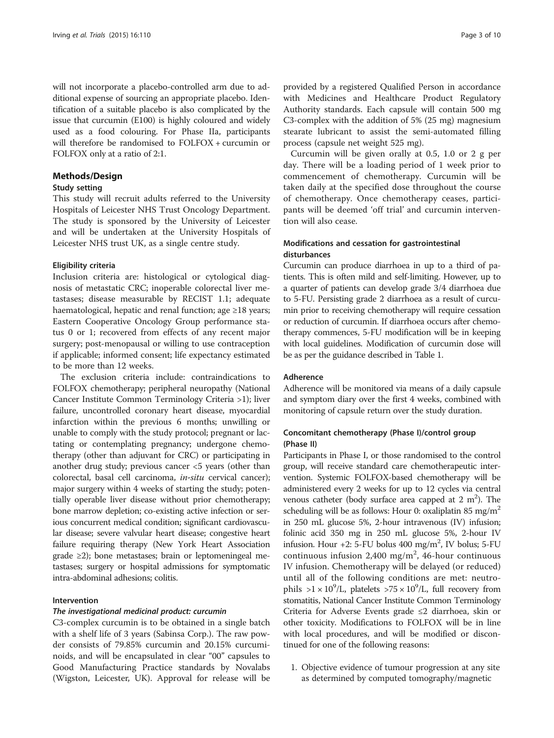will not incorporate a placebo-controlled arm due to additional expense of sourcing an appropriate placebo. Identification of a suitable placebo is also complicated by the issue that curcumin (E100) is highly coloured and widely used as a food colouring. For Phase IIa, participants will therefore be randomised to FOLFOX + curcumin or FOLFOX only at a ratio of 2:1.

# Methods/Design

# Study setting

This study will recruit adults referred to the University Hospitals of Leicester NHS Trust Oncology Department. The study is sponsored by the University of Leicester and will be undertaken at the University Hospitals of Leicester NHS trust UK, as a single centre study.

# Eligibility criteria

Inclusion criteria are: histological or cytological diagnosis of metastatic CRC; inoperable colorectal liver metastases; disease measurable by RECIST 1.1; adequate haematological, hepatic and renal function; age ≥18 years; Eastern Cooperative Oncology Group performance status 0 or 1; recovered from effects of any recent major surgery; post-menopausal or willing to use contraception if applicable; informed consent; life expectancy estimated to be more than 12 weeks.

The exclusion criteria include: contraindications to FOLFOX chemotherapy; peripheral neuropathy (National Cancer Institute Common Terminology Criteria >1); liver failure, uncontrolled coronary heart disease, myocardial infarction within the previous 6 months; unwilling or unable to comply with the study protocol; pregnant or lactating or contemplating pregnancy; undergone chemotherapy (other than adjuvant for CRC) or participating in another drug study; previous cancer <5 years (other than colorectal, basal cell carcinoma, in-situ cervical cancer); major surgery within 4 weeks of starting the study; potentially operable liver disease without prior chemotherapy; bone marrow depletion; co-existing active infection or serious concurrent medical condition; significant cardiovascular disease; severe valvular heart disease; congestive heart failure requiring therapy (New York Heart Association grade ≥2); bone metastases; brain or leptomeningeal metastases; surgery or hospital admissions for symptomatic intra-abdominal adhesions; colitis.

# Intervention

#### The investigational medicinal product: curcumin

C3-complex curcumin is to be obtained in a single batch with a shelf life of 3 years (Sabinsa Corp.). The raw powder consists of 79.85% curcumin and 20.15% curcuminoids, and will be encapsulated in clear "00" capsules to Good Manufacturing Practice standards by Novalabs (Wigston, Leicester, UK). Approval for release will be

provided by a registered Qualified Person in accordance with Medicines and Healthcare Product Regulatory Authority standards. Each capsule will contain 500 mg C3-complex with the addition of 5% (25 mg) magnesium stearate lubricant to assist the semi-automated filling process (capsule net weight 525 mg).

Curcumin will be given orally at 0.5, 1.0 or 2 g per day. There will be a loading period of 1 week prior to commencement of chemotherapy. Curcumin will be taken daily at the specified dose throughout the course of chemotherapy. Once chemotherapy ceases, participants will be deemed 'off trial' and curcumin intervention will also cease.

# Modifications and cessation for gastrointestinal disturbances

Curcumin can produce diarrhoea in up to a third of patients. This is often mild and self-limiting. However, up to a quarter of patients can develop grade 3/4 diarrhoea due to 5-FU. Persisting grade 2 diarrhoea as a result of curcumin prior to receiving chemotherapy will require cessation or reduction of curcumin. If diarrhoea occurs after chemotherapy commences, 5-FU modification will be in keeping with local guidelines. Modification of curcumin dose will be as per the guidance described in Table [1.](#page-3-0)

# Adherence

Adherence will be monitored via means of a daily capsule and symptom diary over the first 4 weeks, combined with monitoring of capsule return over the study duration.

# Concomitant chemotherapy (Phase I)/control group (Phase II)

Participants in Phase I, or those randomised to the control group, will receive standard care chemotherapeutic intervention. Systemic FOLFOX-based chemotherapy will be administered every 2 weeks for up to 12 cycles via central venous catheter (body surface area capped at  $2 \text{ m}^2$ ). The scheduling will be as follows: Hour 0: oxaliplatin 85 mg/m<sup>2</sup> in 250 mL glucose 5%, 2-hour intravenous (IV) infusion; folinic acid 350 mg in 250 mL glucose 5%, 2-hour IV infusion. Hour  $+2$ : 5-FU bolus 400 mg/m<sup>2</sup>, IV bolus; 5-FU continuous infusion  $2,400$  mg/m<sup>2</sup>, 46-hour continuous IV infusion. Chemotherapy will be delayed (or reduced) until all of the following conditions are met: neutrophils >1 ×  $10^9$ /L, platelets >75 ×  $10^9$ /L, full recovery from stomatitis, National Cancer Institute Common Terminology Criteria for Adverse Events grade ≤2 diarrhoea, skin or other toxicity. Modifications to FOLFOX will be in line with local procedures, and will be modified or discontinued for one of the following reasons:

1. Objective evidence of tumour progression at any site as determined by computed tomography/magnetic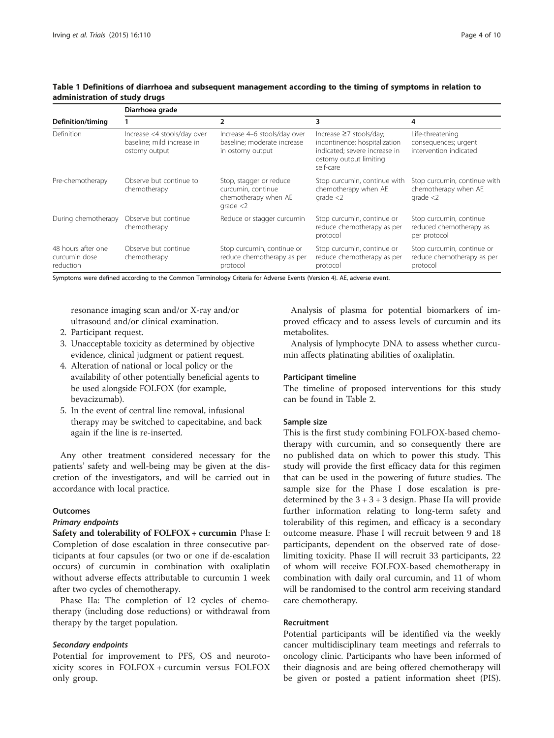| Definition/timing                                | Diarrhoea grade                                                            |                                                                                    |                                                                                                                                  |                                                                      |  |  |
|--------------------------------------------------|----------------------------------------------------------------------------|------------------------------------------------------------------------------------|----------------------------------------------------------------------------------------------------------------------------------|----------------------------------------------------------------------|--|--|
|                                                  |                                                                            | 2                                                                                  | 3                                                                                                                                | 4                                                                    |  |  |
| Definition                                       | Increase <4 stools/day over<br>baseline; mild increase in<br>ostomy output | Increase 4-6 stools/day over<br>baseline: moderate increase<br>in ostomy output    | Increase ≥7 stools/day;<br>incontinence; hospitalization<br>indicated; severe increase in<br>ostomy output limiting<br>self-care | Life-threatening<br>consequences; urgent<br>intervention indicated   |  |  |
| Pre-chemotherapy                                 | Observe but continue to<br>chemotherapy                                    | Stop, stagger or reduce<br>curcumin, continue<br>chemotherapy when AE<br>grade < 2 | Stop curcumin, continue with<br>chemotherapy when AE<br>grade < 2                                                                | Stop curcumin, continue with<br>chemotherapy when AE<br>grade < 2    |  |  |
| During chemotherapy                              | Observe but continue<br>chemotherapy                                       | Reduce or stagger curcumin                                                         | Stop curcumin, continue or<br>reduce chemotherapy as per<br>protocol                                                             | Stop curcumin, continue<br>reduced chemotherapy as<br>per protocol   |  |  |
| 48 hours after one<br>curcumin dose<br>reduction | Observe but continue<br>chemotherapy                                       | Stop curcumin, continue or<br>reduce chemotherapy as per<br>protocol               | Stop curcumin, continue or<br>reduce chemotherapy as per<br>protocol                                                             | Stop curcumin, continue or<br>reduce chemotherapy as per<br>protocol |  |  |

# <span id="page-3-0"></span>Table 1 Definitions of diarrhoea and subsequent management according to the timing of symptoms in relation to administration of study drugs

Symptoms were defined according to the Common Terminology Criteria for Adverse Events (Version 4). AE, adverse event.

resonance imaging scan and/or X-ray and/or ultrasound and/or clinical examination.

- 2. Participant request.
- 3. Unacceptable toxicity as determined by objective evidence, clinical judgment or patient request.
- 4. Alteration of national or local policy or the availability of other potentially beneficial agents to be used alongside FOLFOX (for example, bevacizumab).
- 5. In the event of central line removal, infusional therapy may be switched to capecitabine, and back again if the line is re-inserted.

Any other treatment considered necessary for the patients' safety and well-being may be given at the discretion of the investigators, and will be carried out in accordance with local practice.

# **Outcomes**

# Primary endpoints

Safety and tolerability of FOLFOX + curcumin Phase I: Completion of dose escalation in three consecutive participants at four capsules (or two or one if de-escalation occurs) of curcumin in combination with oxaliplatin without adverse effects attributable to curcumin 1 week after two cycles of chemotherapy.

Phase IIa: The completion of 12 cycles of chemotherapy (including dose reductions) or withdrawal from therapy by the target population.

#### Secondary endpoints

Potential for improvement to PFS, OS and neurotoxicity scores in FOLFOX + curcumin versus FOLFOX only group.

Analysis of plasma for potential biomarkers of improved efficacy and to assess levels of curcumin and its metabolites.

Analysis of lymphocyte DNA to assess whether curcumin affects platinating abilities of oxaliplatin.

# Participant timeline

The timeline of proposed interventions for this study can be found in Table [2](#page-4-0).

#### Sample size

This is the first study combining FOLFOX-based chemotherapy with curcumin, and so consequently there are no published data on which to power this study. This study will provide the first efficacy data for this regimen that can be used in the powering of future studies. The sample size for the Phase I dose escalation is predetermined by the  $3 + 3 + 3$  design. Phase IIa will provide further information relating to long-term safety and tolerability of this regimen, and efficacy is a secondary outcome measure. Phase I will recruit between 9 and 18 participants, dependent on the observed rate of doselimiting toxicity. Phase II will recruit 33 participants, 22 of whom will receive FOLFOX-based chemotherapy in combination with daily oral curcumin, and 11 of whom will be randomised to the control arm receiving standard care chemotherapy.

### Recruitment

Potential participants will be identified via the weekly cancer multidisciplinary team meetings and referrals to oncology clinic. Participants who have been informed of their diagnosis and are being offered chemotherapy will be given or posted a patient information sheet (PIS).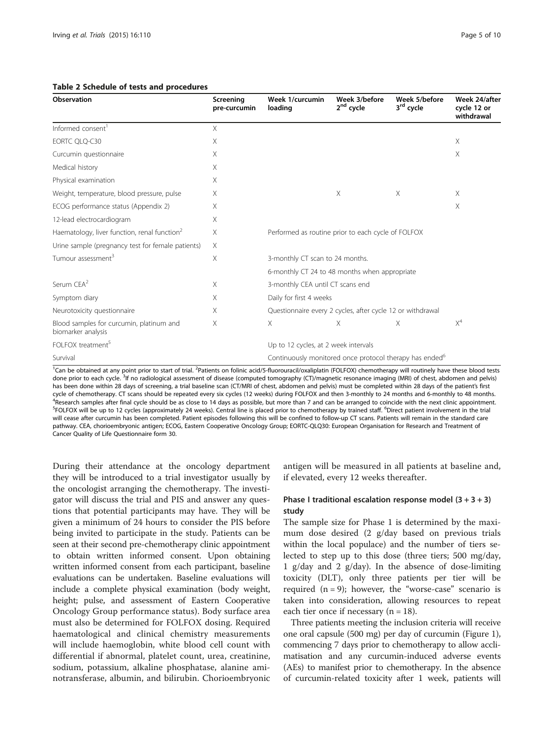| Observation                                                    | Screening<br>pre-curcumin | Week 1/curcumin<br>loading                                          | Week 3/before<br>2 <sup>nd</sup> cycle | Week 5/before<br>3rd cycle | Week 24/after<br>cycle 12 or<br>withdrawal |  |
|----------------------------------------------------------------|---------------------------|---------------------------------------------------------------------|----------------------------------------|----------------------------|--------------------------------------------|--|
| Informed consent <sup>1</sup>                                  | $\times$                  |                                                                     |                                        |                            |                                            |  |
| EORTC QLQ-C30                                                  | X                         |                                                                     |                                        |                            | $\times$                                   |  |
| Curcumin questionnaire                                         | X                         |                                                                     |                                        |                            | X                                          |  |
| Medical history                                                | X                         |                                                                     |                                        |                            |                                            |  |
| Physical examination                                           | X                         |                                                                     |                                        |                            |                                            |  |
| Weight, temperature, blood pressure, pulse                     | X                         |                                                                     | X                                      | X                          | $\times$                                   |  |
| ECOG performance status (Appendix 2)                           | X                         |                                                                     |                                        |                            | X                                          |  |
| 12-lead electrocardiogram                                      | X                         |                                                                     |                                        |                            |                                            |  |
| Haematology, liver function, renal function <sup>2</sup>       | X                         | Performed as routine prior to each cycle of FOLFOX                  |                                        |                            |                                            |  |
| Urine sample (pregnancy test for female patients)              | X                         |                                                                     |                                        |                            |                                            |  |
| Tumour assessment <sup>3</sup>                                 | X                         | 3-monthly CT scan to 24 months.                                     |                                        |                            |                                            |  |
|                                                                |                           | 6-monthly CT 24 to 48 months when appropriate                       |                                        |                            |                                            |  |
| Serum CEA <sup>2</sup>                                         | Χ                         | 3-monthly CEA until CT scans end                                    |                                        |                            |                                            |  |
| Symptom diary                                                  | X                         | Daily for first 4 weeks                                             |                                        |                            |                                            |  |
| Neurotoxicity questionnaire                                    | X                         | Questionnaire every 2 cycles, after cycle 12 or withdrawal          |                                        |                            |                                            |  |
| Blood samples for curcumin, platinum and<br>biomarker analysis | X                         | $\times$                                                            | X                                      | X                          | $X^4$                                      |  |
| FOI FOX treatment <sup>5</sup>                                 |                           | Up to 12 cycles, at 2 week intervals                                |                                        |                            |                                            |  |
| Survival                                                       |                           | Continuously monitored once protocol therapy has ended <sup>6</sup> |                                        |                            |                                            |  |

# <span id="page-4-0"></span>Table 2 Schedule of tests and procedures

<sup>1</sup>Can be obtained at any point prior to start of trial. <sup>2</sup>Patients on folinic acid/5-fluorouracil/oxaliplatin (FOLFOX) chemotherapy will routinely have these blood tests done prior to each cycle. <sup>3</sup>lf no radiological assessment of disease (computed tomography (CT)/magnetic resonance imaging (MRI) of chest, abdomen and pelvis) has been done within 28 days of screening, a trial baseline scan (CT/MRI of chest, abdomen and pelvis) must be completed within 28 days of the patient's first cycle of chemotherapy. CT scans should be repeated every six cycles (12 weeks) during FOLFOX and then 3-monthly to 24 months and 6-monthly to 48 months. <sup>4</sup> Research samples after final cycle should be as close to 14 days as possible, but more than 7 and can be arranged to coincide with the next clinic appointment.<br><sup>5</sup>EOLEOX will be up to 12 cycles (approximately 24 weeks) FOLFOX will be up to 12 cycles (approximately 24 weeks). Central line is placed prior to chemotherapy by trained staff. <sup>6</sup>Direct patient involvement in the trial will cease after curcumin has been completed. Patient episodes following this will be confined to follow-up CT scans. Patients will remain in the standard care pathway. CEA, chorioembryonic antigen; ECOG, Eastern Cooperative Oncology Group; EORTC-QLQ30: European Organisation for Research and Treatment of Cancer Quality of Life Questionnaire form 30.

During their attendance at the oncology department they will be introduced to a trial investigator usually by the oncologist arranging the chemotherapy. The investigator will discuss the trial and PIS and answer any questions that potential participants may have. They will be given a minimum of 24 hours to consider the PIS before being invited to participate in the study. Patients can be seen at their second pre-chemotherapy clinic appointment to obtain written informed consent. Upon obtaining written informed consent from each participant, baseline evaluations can be undertaken. Baseline evaluations will include a complete physical examination (body weight, height; pulse, and assessment of Eastern Cooperative Oncology Group performance status). Body surface area must also be determined for FOLFOX dosing. Required haematological and clinical chemistry measurements will include haemoglobin, white blood cell count with differential if abnormal, platelet count, urea, creatinine, sodium, potassium, alkaline phosphatase, alanine aminotransferase, albumin, and bilirubin. Chorioembryonic antigen will be measured in all patients at baseline and, if elevated, every 12 weeks thereafter.

# Phase I traditional escalation response model  $(3 + 3 + 3)$ study

The sample size for Phase 1 is determined by the maximum dose desired (2 g/day based on previous trials within the local populace) and the number of tiers selected to step up to this dose (three tiers; 500 mg/day, 1 g/day and 2 g/day). In the absence of dose-limiting toxicity (DLT), only three patients per tier will be required  $(n = 9)$ ; however, the "worse-case" scenario is taken into consideration, allowing resources to repeat each tier once if necessary  $(n = 18)$ .

Three patients meeting the inclusion criteria will receive one oral capsule (500 mg) per day of curcumin (Figure [1](#page-5-0)), commencing 7 days prior to chemotherapy to allow acclimatisation and any curcumin-induced adverse events (AEs) to manifest prior to chemotherapy. In the absence of curcumin-related toxicity after 1 week, patients will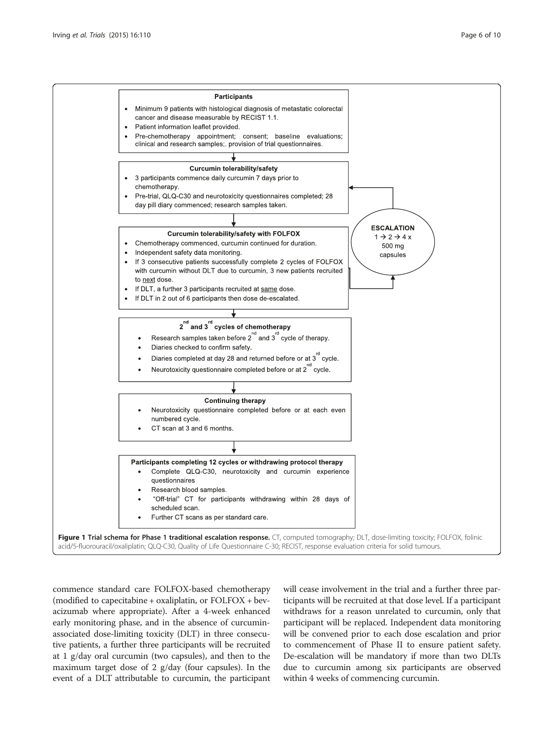<span id="page-5-0"></span>

commence standard care FOLFOX-based chemotherapy (modified to capecitabine + oxaliplatin, or FOLFOX + bevacizumab where appropriate). After a 4-week enhanced early monitoring phase, and in the absence of curcuminassociated dose-limiting toxicity (DLT) in three consecutive patients, a further three participants will be recruited at 1 g/day oral curcumin (two capsules), and then to the maximum target dose of 2 g/day (four capsules). In the event of a DLT attributable to curcumin, the participant

will cease involvement in the trial and a further three participants will be recruited at that dose level. If a participant withdraws for a reason unrelated to curcumin, only that participant will be replaced. Independent data monitoring will be convened prior to each dose escalation and prior to commencement of Phase II to ensure patient safety. De-escalation will be mandatory if more than two DLTs due to curcumin among six participants are observed within 4 weeks of commencing curcumin.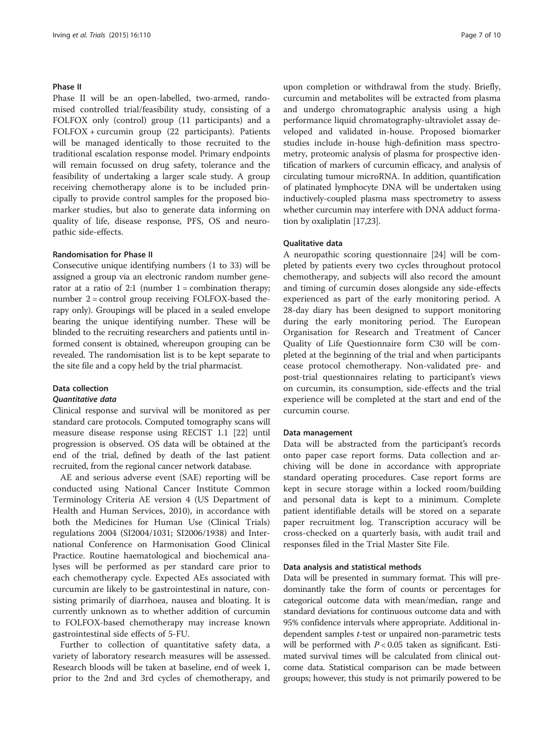#### Phase II

Phase II will be an open-labelled, two-armed, randomised controlled trial/feasibility study, consisting of a FOLFOX only (control) group (11 participants) and a FOLFOX + curcumin group (22 participants). Patients will be managed identically to those recruited to the traditional escalation response model. Primary endpoints will remain focussed on drug safety, tolerance and the feasibility of undertaking a larger scale study. A group receiving chemotherapy alone is to be included principally to provide control samples for the proposed biomarker studies, but also to generate data informing on quality of life, disease response, PFS, OS and neuropathic side-effects.

#### Randomisation for Phase II

Consecutive unique identifying numbers (1 to 33) will be assigned a group via an electronic random number generator at a ratio of 2:1 (number  $1 =$  combination therapy; number 2 = control group receiving FOLFOX-based therapy only). Groupings will be placed in a sealed envelope bearing the unique identifying number. These will be blinded to the recruiting researchers and patients until informed consent is obtained, whereupon grouping can be revealed. The randomisation list is to be kept separate to the site file and a copy held by the trial pharmacist.

#### Data collection

# Quantitative data

Clinical response and survival will be monitored as per standard care protocols. Computed tomography scans will measure disease response using RECIST 1.1 [[22\]](#page-8-0) until progression is observed. OS data will be obtained at the end of the trial, defined by death of the last patient recruited, from the regional cancer network database.

AE and serious adverse event (SAE) reporting will be conducted using National Cancer Institute Common Terminology Criteria AE version 4 (US Department of Health and Human Services, 2010), in accordance with both the Medicines for Human Use (Clinical Trials) regulations 2004 (SI2004/1031; SI2006/1938) and International Conference on Harmonisation Good Clinical Practice. Routine haematological and biochemical analyses will be performed as per standard care prior to each chemotherapy cycle. Expected AEs associated with curcumin are likely to be gastrointestinal in nature, consisting primarily of diarrhoea, nausea and bloating. It is currently unknown as to whether addition of curcumin to FOLFOX-based chemotherapy may increase known gastrointestinal side effects of 5-FU.

Further to collection of quantitative safety data, a variety of laboratory research measures will be assessed. Research bloods will be taken at baseline, end of week 1, prior to the 2nd and 3rd cycles of chemotherapy, and

upon completion or withdrawal from the study. Briefly, curcumin and metabolites will be extracted from plasma and undergo chromatographic analysis using a high performance liquid chromatography-ultraviolet assay developed and validated in-house. Proposed biomarker studies include in-house high-definition mass spectrometry, proteomic analysis of plasma for prospective identification of markers of curcumin efficacy, and analysis of circulating tumour microRNA. In addition, quantification of platinated lymphocyte DNA will be undertaken using inductively-coupled plasma mass spectrometry to assess whether curcumin may interfere with DNA adduct formation by oxaliplatin [[17,23](#page-8-0)].

#### Qualitative data

A neuropathic scoring questionnaire [[24\]](#page-8-0) will be completed by patients every two cycles throughout protocol chemotherapy, and subjects will also record the amount and timing of curcumin doses alongside any side-effects experienced as part of the early monitoring period. A 28-day diary has been designed to support monitoring during the early monitoring period. The European Organisation for Research and Treatment of Cancer Quality of Life Questionnaire form C30 will be completed at the beginning of the trial and when participants cease protocol chemotherapy. Non-validated pre- and post-trial questionnaires relating to participant's views on curcumin, its consumption, side-effects and the trial experience will be completed at the start and end of the curcumin course.

### Data management

Data will be abstracted from the participant's records onto paper case report forms. Data collection and archiving will be done in accordance with appropriate standard operating procedures. Case report forms are kept in secure storage within a locked room/building and personal data is kept to a minimum. Complete patient identifiable details will be stored on a separate paper recruitment log. Transcription accuracy will be cross-checked on a quarterly basis, with audit trail and responses filed in the Trial Master Site File.

#### Data analysis and statistical methods

Data will be presented in summary format. This will predominantly take the form of counts or percentages for categorical outcome data with mean/median, range and standard deviations for continuous outcome data and with 95% confidence intervals where appropriate. Additional independent samples t-test or unpaired non-parametric tests will be performed with  $P < 0.05$  taken as significant. Estimated survival times will be calculated from clinical outcome data. Statistical comparison can be made between groups; however, this study is not primarily powered to be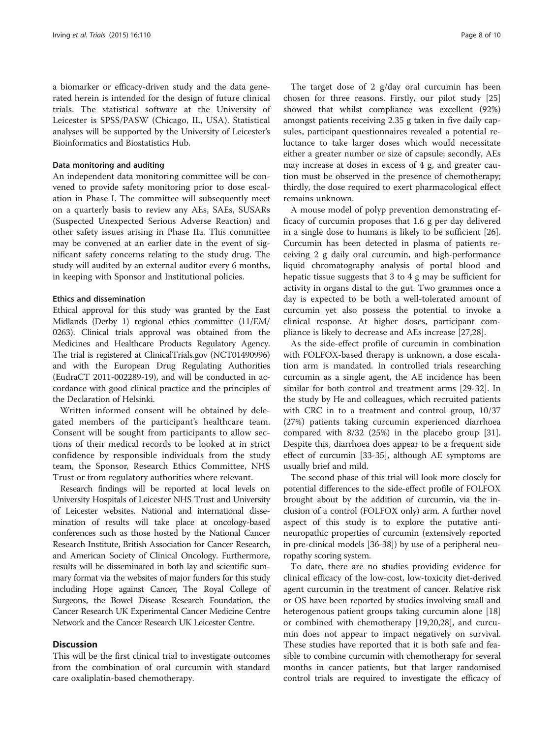a biomarker or efficacy-driven study and the data generated herein is intended for the design of future clinical trials. The statistical software at the University of Leicester is SPSS/PASW (Chicago, IL, USA). Statistical analyses will be supported by the University of Leicester's Bioinformatics and Biostatistics Hub.

#### Data monitoring and auditing

An independent data monitoring committee will be convened to provide safety monitoring prior to dose escalation in Phase I. The committee will subsequently meet on a quarterly basis to review any AEs, SAEs, SUSARs (Suspected Unexpected Serious Adverse Reaction) and other safety issues arising in Phase IIa. This committee may be convened at an earlier date in the event of significant safety concerns relating to the study drug. The study will audited by an external auditor every 6 months, in keeping with Sponsor and Institutional policies.

#### Ethics and dissemination

Ethical approval for this study was granted by the East Midlands (Derby 1) regional ethics committee (11/EM/ 0263). Clinical trials approval was obtained from the Medicines and Healthcare Products Regulatory Agency. The trial is registered at ClinicalTrials.gov (NCT01490996) and with the European Drug Regulating Authorities (EudraCT 2011-002289-19), and will be conducted in accordance with good clinical practice and the principles of the Declaration of Helsinki.

Written informed consent will be obtained by delegated members of the participant's healthcare team. Consent will be sought from participants to allow sections of their medical records to be looked at in strict confidence by responsible individuals from the study team, the Sponsor, Research Ethics Committee, NHS Trust or from regulatory authorities where relevant.

Research findings will be reported at local levels on University Hospitals of Leicester NHS Trust and University of Leicester websites. National and international dissemination of results will take place at oncology-based conferences such as those hosted by the National Cancer Research Institute, British Association for Cancer Research, and American Society of Clinical Oncology. Furthermore, results will be disseminated in both lay and scientific summary format via the websites of major funders for this study including Hope against Cancer, The Royal College of Surgeons, the Bowel Disease Research Foundation, the Cancer Research UK Experimental Cancer Medicine Centre Network and the Cancer Research UK Leicester Centre.

# **Discussion**

This will be the first clinical trial to investigate outcomes from the combination of oral curcumin with standard care oxaliplatin-based chemotherapy.

The target dose of 2 g/day oral curcumin has been chosen for three reasons. Firstly, our pilot study [[25](#page-9-0)] showed that whilst compliance was excellent (92%) amongst patients receiving 2.35 g taken in five daily capsules, participant questionnaires revealed a potential reluctance to take larger doses which would necessitate either a greater number or size of capsule; secondly, AEs may increase at doses in excess of 4 g, and greater caution must be observed in the presence of chemotherapy; thirdly, the dose required to exert pharmacological effect remains unknown.

A mouse model of polyp prevention demonstrating efficacy of curcumin proposes that 1.6 g per day delivered in a single dose to humans is likely to be sufficient [\[26](#page-9-0)]. Curcumin has been detected in plasma of patients receiving 2 g daily oral curcumin, and high-performance liquid chromatography analysis of portal blood and hepatic tissue suggests that 3 to 4 g may be sufficient for activity in organs distal to the gut. Two grammes once a day is expected to be both a well-tolerated amount of curcumin yet also possess the potential to invoke a clinical response. At higher doses, participant compliance is likely to decrease and AEs increase [[27](#page-9-0),[28](#page-9-0)].

As the side-effect profile of curcumin in combination with FOLFOX-based therapy is unknown, a dose escalation arm is mandated. In controlled trials researching curcumin as a single agent, the AE incidence has been similar for both control and treatment arms [\[29](#page-9-0)-[32\]](#page-9-0). In the study by He and colleagues, which recruited patients with CRC in to a treatment and control group, 10/37 (27%) patients taking curcumin experienced diarrhoea compared with 8/32 (25%) in the placebo group [\[31](#page-9-0)]. Despite this, diarrhoea does appear to be a frequent side effect of curcumin [\[33](#page-9-0)-[35](#page-9-0)], although AE symptoms are usually brief and mild.

The second phase of this trial will look more closely for potential differences to the side-effect profile of FOLFOX brought about by the addition of curcumin, via the inclusion of a control (FOLFOX only) arm. A further novel aspect of this study is to explore the putative antineuropathic properties of curcumin (extensively reported in pre-clinical models [\[36-38\]](#page-9-0)) by use of a peripheral neuropathy scoring system.

To date, there are no studies providing evidence for clinical efficacy of the low-cost, low-toxicity diet-derived agent curcumin in the treatment of cancer. Relative risk or OS have been reported by studies involving small and heterogenous patient groups taking curcumin alone [[18](#page-8-0)] or combined with chemotherapy [[19,20](#page-8-0)[,28](#page-9-0)], and curcumin does not appear to impact negatively on survival. These studies have reported that it is both safe and feasible to combine curcumin with chemotherapy for several months in cancer patients, but that larger randomised control trials are required to investigate the efficacy of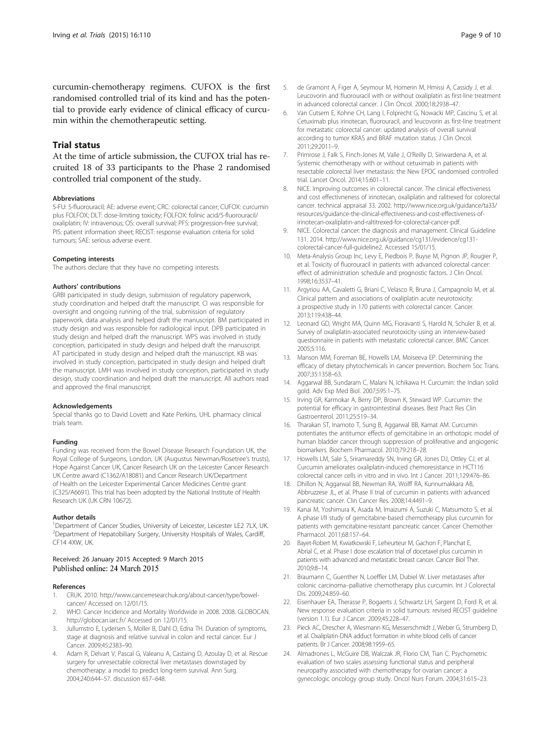<span id="page-8-0"></span>curcumin-chemotherapy regimens. CUFOX is the first randomised controlled trial of its kind and has the potential to provide early evidence of clinical efficacy of curcumin within the chemotherapeutic setting.

# Trial status

At the time of article submission, the CUFOX trial has recruited 18 of 33 participants to the Phase 2 randomised controlled trial component of the study.

#### Abbreviations

5-FU: 5-fluorouracil; AE: adverse event; CRC: colorectal cancer; CUFOX: curcumin plus FOLFOX; DLT: dose-limiting toxicity; FOLFOX: folinic acid/5-fluorouracil/ oxaliplatin; IV: intravenous; OS: overall survival; PFS: progression-free survival; PIS: patient information sheet; RECIST: response evaluation criteria for solid tumours; SAE: serious adverse event.

#### Competing interests

The authors declare that they have no competing interests.

#### Authors' contributions

GRBI participated in study design, submission of regulatory paperwork, study coordination and helped draft the manuscript. CI was responsible for oversight and ongoing running of the trial, submission of regulatory paperwork, data analysis and helped draft the manuscript. BM participated in study design and was responsible for radiological input. DPB participated in study design and helped draft the manuscript. WPS was involved in study conception, participated in study design and helped draft the manuscript. AT participated in study design and helped draft the manuscript. KB was involved in study conception, participated in study design and helped draft the manuscript. LMH was involved in study conception, participated in study design, study coordination and helped draft the manuscript. All authors read and approved the final manuscript.

#### Acknowledgements

Special thanks go to David Lovett and Kate Perkins, UHL pharmacy clinical trials team.

#### Funding

Funding was received from the Bowel Disease Research Foundation UK, the Royal College of Surgeons, London, UK (Augustus Newman/Rosetree's trusts), Hope Against Cancer UK, Cancer Research UK on the Leicester Cancer Research UK Centre award (C1362/A18081) and Cancer Research UK/Department of Health on the Leicester Experimental Cancer Medicines Centre grant (C325/A6691). This trial has been adopted by the National Institute of Health Research UK (UK CRN 10672).

#### Author details

<sup>1</sup>Department of Cancer Studies, University of Leicester, Leicester LE2 7LX, UK. <sup>2</sup>Department of Hepatobiliary Surgery, University Hospitals of Wales, Cardiff, CF14 4XW, UK.

## Received: 26 January 2015 Accepted: 9 March 2015 Published online: 24 March 2015

#### References

- 1. CRUK. 2010. [http://www.cancerresearchuk.org/about-cancer/type/bowel](http://www.cancerresearchuk.org/about-cancer/type/bowel-cancer/)[cancer/](http://www.cancerresearchuk.org/about-cancer/type/bowel-cancer/) Accessed on 12/01/15.
- 2. WHO. Cancer Incidence and Mortality Worldwide in 2008. 2008. GLOBOCAN. <http://globocan.iarc.fr/> Accessed on 12/01/15.
- 3. Jullumstro E, Lydersen S, Moller B, Dahl O, Edna TH. Duration of symptoms, stage at diagnosis and relative survival in colon and rectal cancer. Eur J Cancer. 2009;45:2383–90.
- 4. Adam R, Delvart V, Pascal G, Valeanu A, Castaing D, Azoulay D, et al. Rescue surgery for unresectable colorectal liver metastases downstaged by chemotherapy: a model to predict long-term survival. Ann Surg. 2004;240:644–57. discussion 657–648.
- 5. de Gramont A, Figer A, Seymour M, Homerin M, Hmissi A, Cassidy J, et al. Leucovorin and fluorouracil with or without oxaliplatin as first-line treatment in advanced colorectal cancer. J Clin Oncol. 2000;18:2938–47.
- 6. Van Cutsem E, Kohne CH, Lang I, Folprecht G, Nowacki MP, Cascinu S, et al. Cetuximab plus irinotecan, fluorouracil, and leucovorin as first-line treatment for metastatic colorectal cancer: updated analysis of overall survival according to tumor KRAS and BRAF mutation status. J Clin Oncol. 2011;29:2011–9.
- 7. Primrose J, Falk S, Finch-Jones M, Valle J, O'Reilly D, Siriwardena A, et al. Systemic chemotherapy with or without cetuximab in patients with resectable colorectal liver metastasis: the New EPOC randomised controlled trial. Lancet Oncol. 2014;15:601–11.
- 8. NICE. Improving outcomes in colorectal cancer. The clinical effectiveness and cost effectivneness of irinotecan, oxaliplatin and ralitrexed for colorectal cancer. technical appraisal 33. 2002. [http://www.nice.org.uk/guidance/ta33/](http://www.nice.org.uk/guidance/ta33/resources/guidance-the-clinical-effectiveness-and-cost-effectiveness-of-irinotecan-oxaliplatin-and-raltitrexed-for-colorectal-cancer-pdf) [resources/guidance-the-clinical-effectiveness-and-cost-effectiveness-of](http://www.nice.org.uk/guidance/ta33/resources/guidance-the-clinical-effectiveness-and-cost-effectiveness-of-irinotecan-oxaliplatin-and-raltitrexed-for-colorectal-cancer-pdf)[irinotecan-oxaliplatin-and-raltitrexed-for-colorectal-cancer-pdf](http://www.nice.org.uk/guidance/ta33/resources/guidance-the-clinical-effectiveness-and-cost-effectiveness-of-irinotecan-oxaliplatin-and-raltitrexed-for-colorectal-cancer-pdf).
- 9. NICE. Colorectal cancer: the diagnosis and management. Clinical Guideline 131. 2014. [http://www.nice.org.uk/guidance/cg131/evidence/cg131](http://www.nice.org.uk/guidance/cg131/evidence/cg131-colorectal-cancer-full-guideline2) [colorectal-cancer-full-guideline2.](http://www.nice.org.uk/guidance/cg131/evidence/cg131-colorectal-cancer-full-guideline2) Accessed 15/01/15.
- 10. Meta-Analysis Group Inc, Levy E, Piedbois P, Buyse M, Pignon JP, Rougier P, et al. Toxicity of fluorouracil in patients with advanced colorectal cancer: effect of administration schedule and prognostic factors. J Clin Oncol. 1998;16:3537–41.
- 11. Argyriou AA, Cavaletti G, Briani C, Velasco R, Bruna J, Campagnolo M, et al. Clinical pattern and associations of oxaliplatin acute neurotoxicity: a prospective study in 170 patients with colorectal cancer. Cancer. 2013;119:438–44.
- 12. Leonard GD, Wright MA, Quinn MG, Fioravanti S, Harold N, Schuler B, et al. Survey of oxaliplatin-associated neurotoxicity using an interview-based questionnaire in patients with metastatic colorectal cancer. BMC Cancer. 2005;5:116.
- 13. Manson MM, Foreman BE, Howells LM, Moiseeva EP. Determining the efficacy of dietary phytochemicals in cancer prevention. Biochem Soc Trans. 2007;35:1358–63.
- 14. Aggarwal BB, Sundaram C, Malani N, Ichikawa H. Curcumin: the Indian solid gold. Adv Exp Med Biol. 2007;595:1–75.
- 15. Irving GR, Karmokar A, Berry DP, Brown K, Steward WP. Curcumin: the potential for efficacy in gastrointestinal diseases. Best Pract Res Clin Gastroenterol. 2011;25:519–34.
- 16. Tharakan ST, Inamoto T, Sung B, Aggarwal BB, Kamat AM. Curcumin potentiates the antitumor effects of gemcitabine in an orthotopic model of human bladder cancer through suppression of proliferative and angiogenic biomarkers. Biochem Pharmacol. 2010;79:218–28.
- 17. Howells LM, Sale S, Sriramareddy SN, Irving GR, Jones DJ, Ottley CJ, et al. Curcumin ameliorates oxaliplatin-induced chemoresistance in HCT116 colorectal cancer cells in vitro and in vivo. Int J Cancer. 2011;129:476–86.
- 18. Dhillon N, Aggarwal BB, Newman RA, Wolff RA, Kunnumakkara AB, Abbruzzese JL, et al. Phase II trial of curcumin in patients with advanced pancreatic cancer. Clin Cancer Res. 2008;14:4491–9.
- 19. Kanai M, Yoshimura K, Asada M, Imaizumi A, Suzuki C, Matsumoto S, et al. A phase I/II study of gemcitabine-based chemotherapy plus curcumin for patients with gemcitabine-resistant pancreatic cancer. Cancer Chemother Pharmacol. 2011;68:157–64.
- 20. Bayet-Robert M, Kwiatkowski F, Leheurteur M, Gachon F, Planchat E, Abrial C, et al. Phase I dose escalation trial of docetaxel plus curcumin in patients with advanced and metastatic breast cancer. Cancer Biol Ther. 2010;9:8–14.
- 21. Braumann C, Guenther N, Loeffler LM, Dubiel W, Liver metastases after colonic carcinoma–palliative chemotherapy plus curcumin. Int J Colorectal Dis. 2009;24:859–60.
- 22. Eisenhauer EA, Therasse P, Bogaerts J, Schwartz LH, Sargent D, Ford R, et al. New response evaluation criteria in solid tumours: revised RECIST guideline (version 1.1). Eur J Cancer. 2009;45:228–47.
- 23. Pieck AC, Drescher A, Wiesmann KG, Messerschmidt J, Weber G, Strumberg D, et al. Oxaliplatin-DNA adduct formation in white blood cells of cancer patients. Br J Cancer. 2008;98:1959–65.
- 24. Almadrones L, McGuire DB, Walczak JR, Florio CM, Tian C. Psychometric evaluation of two scales assessing functional status and peripheral neuropathy associated with chemotherapy for ovarian cancer: a gynecologic oncology group study. Oncol Nurs Forum. 2004;31:615–23.